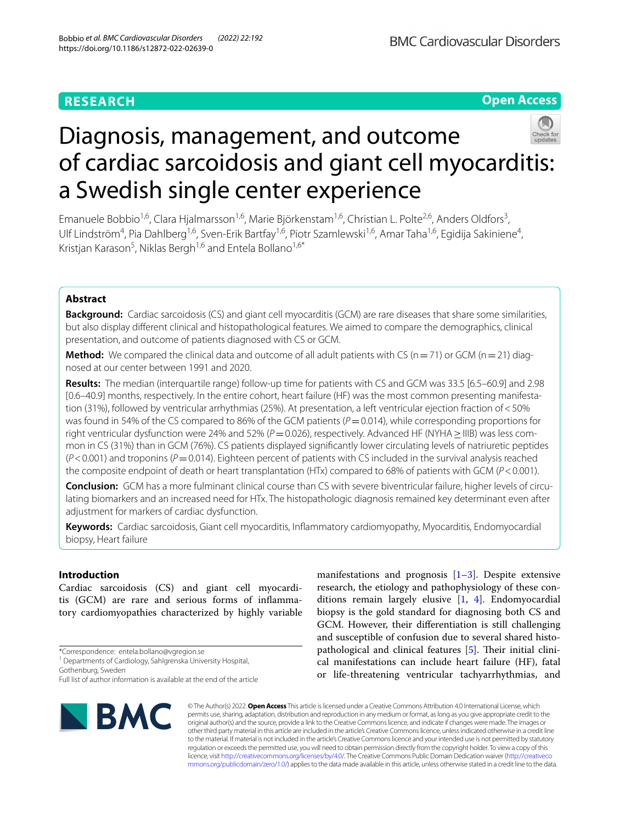# **RESEARCH**

**Open Access**

# Diagnosis, management, and outcome of cardiac sarcoidosis and giant cell myocarditis: a Swedish single center experience

Emanuele Bobbio<sup>1,6</sup>, Clara Hjalmarsson<sup>1,6</sup>, Marie Björkenstam<sup>1,6</sup>, Christian L. Polte<sup>2,6</sup>, Anders Oldfors<sup>3</sup>, Ulf Lindström<sup>4</sup>, Pia Dahlberg<sup>1,6</sup>, Sven-Erik Bartfay<sup>1,6</sup>, Piotr Szamlewski<sup>1,6</sup>, Amar Taha<sup>1,6</sup>, Egidija Sakiniene<sup>4</sup>, Kristjan Karason<sup>5</sup>, Niklas Bergh<sup>1,6</sup> and Entela Bollano<sup>1,6\*</sup>

## **Abstract**

**Background:** Cardiac sarcoidosis (CS) and giant cell myocarditis (GCM) are rare diseases that share some similarities, but also display diferent clinical and histopathological features. We aimed to compare the demographics, clinical presentation, and outcome of patients diagnosed with CS or GCM.

**Method:** We compared the clinical data and outcome of all adult patients with CS ( $n=71$ ) or GCM ( $n=21$ ) diagnosed at our center between 1991 and 2020.

**Results:** The median (interquartile range) follow-up time for patients with CS and GCM was 33.5 [6.5–60.9] and 2.98 [0.6–40.9] months, respectively. In the entire cohort, heart failure (HF) was the most common presenting manifestation (31%), followed by ventricular arrhythmias (25%). At presentation, a left ventricular ejection fraction of<50% was found in 54% of the CS compared to 86% of the GCM patients ( $P=0.014$ ), while corresponding proportions for right ventricular dysfunction were 24% and 52% (*P* = 0.026), respectively. Advanced HF (NYHA > IIIB) was less common in CS (31%) than in GCM (76%). CS patients displayed signifcantly lower circulating levels of natriuretic peptides  $(P<0.001)$  and troponins ( $P=0.014$ ). Eighteen percent of patients with CS included in the survival analysis reached the composite endpoint of death or heart transplantation (HTx) compared to 68% of patients with GCM (*P*<0.001).

**Conclusion:** GCM has a more fulminant clinical course than CS with severe biventricular failure, higher levels of circulating biomarkers and an increased need for HTx. The histopathologic diagnosis remained key determinant even after adjustment for markers of cardiac dysfunction.

**Keywords:** Cardiac sarcoidosis, Giant cell myocarditis, Infammatory cardiomyopathy, Myocarditis, Endomyocardial biopsy, Heart failure

## **Introduction**

Cardiac sarcoidosis (CS) and giant cell myocarditis (GCM) are rare and serious forms of infammatory cardiomyopathies characterized by highly variable

Gothenburg, Sweden

research, the etiology and pathophysiology of these conditions remain largely elusive [[1,](#page-7-0) [4](#page-7-2)]. Endomyocardial biopsy is the gold standard for diagnosing both CS and GCM. However, their diferentiation is still challenging and susceptible of confusion due to several shared histo-pathological and clinical features [\[5\]](#page-7-3). Their initial clinical manifestations can include heart failure (HF), fatal or life-threatening ventricular tachyarrhythmias, and

manifestations and prognosis  $[1-3]$  $[1-3]$ . Despite extensive



© The Author(s) 2022. **Open Access** This article is licensed under a Creative Commons Attribution 4.0 International License, which permits use, sharing, adaptation, distribution and reproduction in any medium or format, as long as you give appropriate credit to the original author(s) and the source, provide a link to the Creative Commons licence, and indicate if changes were made. The images or other third party material in this article are included in the article's Creative Commons licence, unless indicated otherwise in a credit line to the material. If material is not included in the article's Creative Commons licence and your intended use is not permitted by statutory regulation or exceeds the permitted use, you will need to obtain permission directly from the copyright holder. To view a copy of this licence, visit [http://creativecommons.org/licenses/by/4.0/.](http://creativecommons.org/licenses/by/4.0/) The Creative Commons Public Domain Dedication waiver ([http://creativeco](http://creativecommons.org/publicdomain/zero/1.0/) [mmons.org/publicdomain/zero/1.0/](http://creativecommons.org/publicdomain/zero/1.0/)) applies to the data made available in this article, unless otherwise stated in a credit line to the data.

<sup>\*</sup>Correspondence: entela.bollano@vgregion.se

<sup>&</sup>lt;sup>1</sup> Departments of Cardiology, Sahlgrenska University Hospital,

Full list of author information is available at the end of the article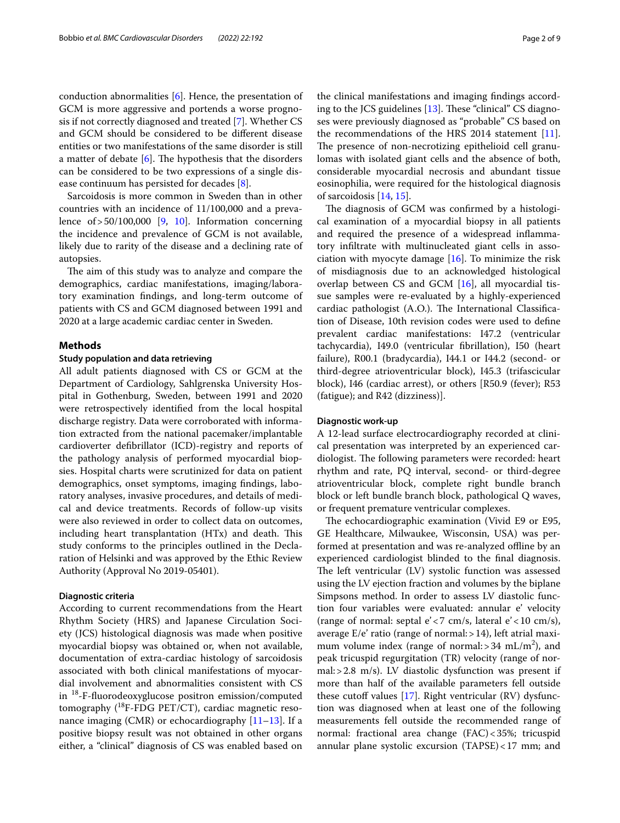conduction abnormalities [\[6](#page-7-4)]. Hence, the presentation of GCM is more aggressive and portends a worse prognosis if not correctly diagnosed and treated [\[7](#page-7-5)]. Whether CS and GCM should be considered to be diferent disease entities or two manifestations of the same disorder is still a matter of debate  $[6]$  $[6]$ . The hypothesis that the disorders can be considered to be two expressions of a single disease continuum has persisted for decades [\[8\]](#page-7-6).

Sarcoidosis is more common in Sweden than in other countries with an incidence of 11/100,000 and a prevalence  $of > 50/100,000$  $of > 50/100,000$  $of > 50/100,000$  [\[9](#page-7-7), 10]. Information concerning the incidence and prevalence of GCM is not available, likely due to rarity of the disease and a declining rate of autopsies.

The aim of this study was to analyze and compare the demographics, cardiac manifestations, imaging/laboratory examination fndings, and long-term outcome of patients with CS and GCM diagnosed between 1991 and 2020 at a large academic cardiac center in Sweden.

## **Methods**

## **Study population and data retrieving**

All adult patients diagnosed with CS or GCM at the Department of Cardiology, Sahlgrenska University Hospital in Gothenburg, Sweden, between 1991 and 2020 were retrospectively identifed from the local hospital discharge registry. Data were corroborated with information extracted from the national pacemaker/implantable cardioverter defbrillator (ICD)-registry and reports of the pathology analysis of performed myocardial biopsies. Hospital charts were scrutinized for data on patient demographics, onset symptoms, imaging fndings, laboratory analyses, invasive procedures, and details of medical and device treatments. Records of follow-up visits were also reviewed in order to collect data on outcomes, including heart transplantation (HTx) and death. This study conforms to the principles outlined in the Declaration of Helsinki and was approved by the Ethic Review Authority (Approval No 2019-05401).

## **Diagnostic criteria**

According to current recommendations from the Heart Rhythm Society (HRS) and Japanese Circulation Society (JCS) histological diagnosis was made when positive myocardial biopsy was obtained or, when not available, documentation of extra-cardiac histology of sarcoidosis associated with both clinical manifestations of myocardial involvement and abnormalities consistent with CS in 18-F-fuorodeoxyglucose positron emission/computed tomography  $(^{18}F-FDG$  PET/CT), cardiac magnetic resonance imaging (CMR) or echocardiography [[11–](#page-8-1)[13](#page-8-2)]. If a positive biopsy result was not obtained in other organs either, a "clinical" diagnosis of CS was enabled based on the clinical manifestations and imaging fndings according to the JCS guidelines  $[13]$  $[13]$ . These "clinical" CS diagnoses were previously diagnosed as "probable" CS based on the recommendations of the HRS 2014 statement  $[11]$  $[11]$ . The presence of non-necrotizing epithelioid cell granulomas with isolated giant cells and the absence of both, considerable myocardial necrosis and abundant tissue eosinophilia, were required for the histological diagnosis of sarcoidosis [\[14](#page-8-3), [15\]](#page-8-4).

The diagnosis of GCM was confirmed by a histological examination of a myocardial biopsy in all patients and required the presence of a widespread infammatory infltrate with multinucleated giant cells in association with myocyte damage [\[16](#page-8-5)]. To minimize the risk of misdiagnosis due to an acknowledged histological overlap between CS and GCM [[16\]](#page-8-5), all myocardial tissue samples were re-evaluated by a highly-experienced cardiac pathologist (A.O.). The International Classification of Disease, 10th revision codes were used to defne prevalent cardiac manifestations: I47.2 (ventricular tachycardia), I49.0 (ventricular fbrillation), I50 (heart failure), R00.1 (bradycardia), I44.1 or I44.2 (second- or third-degree atrioventricular block), I45.3 (trifascicular block), I46 (cardiac arrest), or others [R50.9 (fever); R53 (fatigue); and R42 (dizziness)].

## **Diagnostic work‑up**

A 12-lead surface electrocardiography recorded at clinical presentation was interpreted by an experienced cardiologist. The following parameters were recorded: heart rhythm and rate, PQ interval, second- or third-degree atrioventricular block, complete right bundle branch block or left bundle branch block, pathological Q waves, or frequent premature ventricular complexes.

The echocardiographic examination (Vivid E9 or E95, GE Healthcare, Milwaukee, Wisconsin, USA) was performed at presentation and was re-analyzed offline by an experienced cardiologist blinded to the fnal diagnosis. The left ventricular (LV) systolic function was assessed using the LV ejection fraction and volumes by the biplane Simpsons method. In order to assess LV diastolic function four variables were evaluated: annular e' velocity (range of normal: septal  $e' < 7$  cm/s, lateral  $e' < 10$  cm/s), average  $E/e'$  ratio (range of normal:  $>14$ ), left atrial maximum volume index (range of normal:  $>$  34 mL/m<sup>2</sup>), and peak tricuspid regurgitation (TR) velocity (range of normal:>2.8 m/s). LV diastolic dysfunction was present if more than half of the available parameters fell outside these cutoff values  $[17]$  $[17]$ . Right ventricular  $(RV)$  dysfunction was diagnosed when at least one of the following measurements fell outside the recommended range of normal: fractional area change (FAC)<35%; tricuspid annular plane systolic excursion (TAPSE)<17 mm; and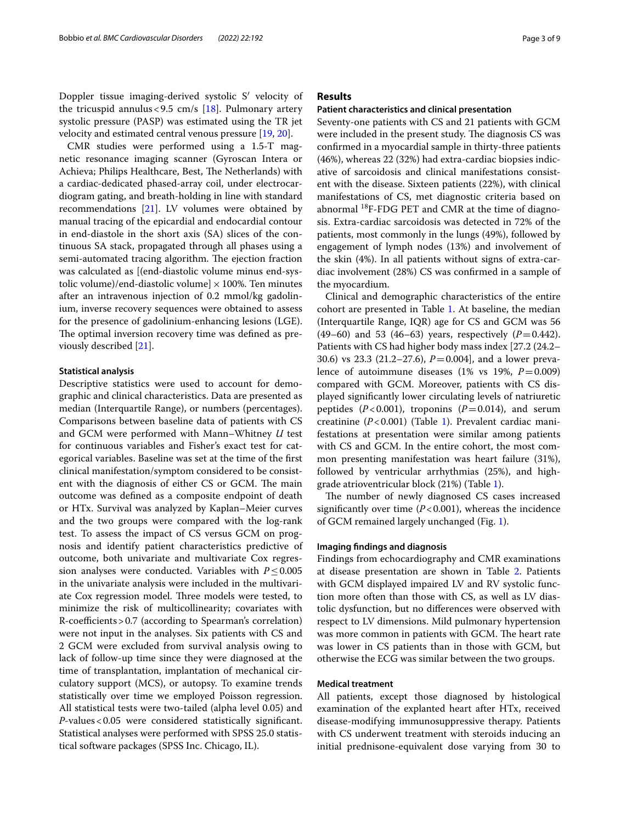CMR studies were performed using a 1.5-T magnetic resonance imaging scanner (Gyroscan Intera or Achieva; Philips Healthcare, Best, The Netherlands) with a cardiac-dedicated phased-array coil, under electrocardiogram gating, and breath-holding in line with standard recommendations [\[21\]](#page-8-10). LV volumes were obtained by manual tracing of the epicardial and endocardial contour in end-diastole in the short axis (SA) slices of the continuous SA stack, propagated through all phases using a semi-automated tracing algorithm. The ejection fraction was calculated as [(end-diastolic volume minus end-systolic volume)/end-diastolic volume]  $\times$  100%. Ten minutes after an intravenous injection of 0.2 mmol/kg gadolinium, inverse recovery sequences were obtained to assess for the presence of gadolinium-enhancing lesions (LGE). The optimal inversion recovery time was defined as previously described [[21\]](#page-8-10).

#### **Statistical analysis**

Descriptive statistics were used to account for demographic and clinical characteristics. Data are presented as median (Interquartile Range), or numbers (percentages). Comparisons between baseline data of patients with CS and GCM were performed with Mann–Whitney *U* test for continuous variables and Fisher's exact test for categorical variables. Baseline was set at the time of the frst clinical manifestation/symptom considered to be consistent with the diagnosis of either CS or GCM. The main outcome was defned as a composite endpoint of death or HTx. Survival was analyzed by Kaplan–Meier curves and the two groups were compared with the log-rank test. To assess the impact of CS versus GCM on prognosis and identify patient characteristics predictive of outcome, both univariate and multivariate Cox regression analyses were conducted. Variables with  $P \leq 0.005$ in the univariate analysis were included in the multivariate Cox regression model. Three models were tested, to minimize the risk of multicollinearity; covariates with  $R$ -coefficients > 0.7 (according to Spearman's correlation) were not input in the analyses. Six patients with CS and 2 GCM were excluded from survival analysis owing to lack of follow-up time since they were diagnosed at the time of transplantation, implantation of mechanical circulatory support (MCS), or autopsy. To examine trends statistically over time we employed Poisson regression. All statistical tests were two-tailed (alpha level 0.05) and *P*-values<0.05 were considered statistically signifcant. Statistical analyses were performed with SPSS 25.0 statistical software packages (SPSS Inc. Chicago, IL).

## **Results**

## **Patient characteristics and clinical presentation**

Seventy-one patients with CS and 21 patients with GCM were included in the present study. The diagnosis CS was confrmed in a myocardial sample in thirty-three patients (46%), whereas 22 (32%) had extra-cardiac biopsies indicative of sarcoidosis and clinical manifestations consistent with the disease. Sixteen patients (22%), with clinical manifestations of CS, met diagnostic criteria based on abnormal  $^{18}$ F-FDG PET and CMR at the time of diagnosis. Extra-cardiac sarcoidosis was detected in 72% of the patients, most commonly in the lungs (49%), followed by engagement of lymph nodes (13%) and involvement of the skin (4%). In all patients without signs of extra-cardiac involvement (28%) CS was confrmed in a sample of the myocardium.

Clinical and demographic characteristics of the entire cohort are presented in Table [1](#page-3-0). At baseline, the median (Interquartile Range, IQR) age for CS and GCM was 56 (49–60) and 53 (46–63) years, respectively  $(P=0.442)$ . Patients with CS had higher body mass index [27.2 (24.2– 30.6) vs 23.3 (21.2–27.6), *P*=0.004], and a lower prevalence of autoimmune diseases  $(1\% \text{ vs } 19\%, P=0.009)$ compared with GCM. Moreover, patients with CS displayed signifcantly lower circulating levels of natriuretic peptides  $(P<0.001)$ , troponins  $(P=0.014)$ , and serum creatinine (*P*<0.001) (Table [1](#page-3-0)). Prevalent cardiac manifestations at presentation were similar among patients with CS and GCM. In the entire cohort, the most common presenting manifestation was heart failure (31%), followed by ventricular arrhythmias (25%), and highgrade atrioventricular block (21%) (Table [1\)](#page-3-0).

The number of newly diagnosed CS cases increased significantly over time  $(P<0.001)$ , whereas the incidence of GCM remained largely unchanged (Fig. [1\)](#page-3-1).

#### **Imaging fndings and diagnosis**

Findings from echocardiography and CMR examinations at disease presentation are shown in Table [2](#page-4-0). Patients with GCM displayed impaired LV and RV systolic function more often than those with CS, as well as LV diastolic dysfunction, but no diferences were observed with respect to LV dimensions. Mild pulmonary hypertension was more common in patients with GCM. The heart rate was lower in CS patients than in those with GCM, but otherwise the ECG was similar between the two groups.

## **Medical treatment**

All patients, except those diagnosed by histological examination of the explanted heart after HTx, received disease-modifying immunosuppressive therapy. Patients with CS underwent treatment with steroids inducing an initial prednisone-equivalent dose varying from 30 to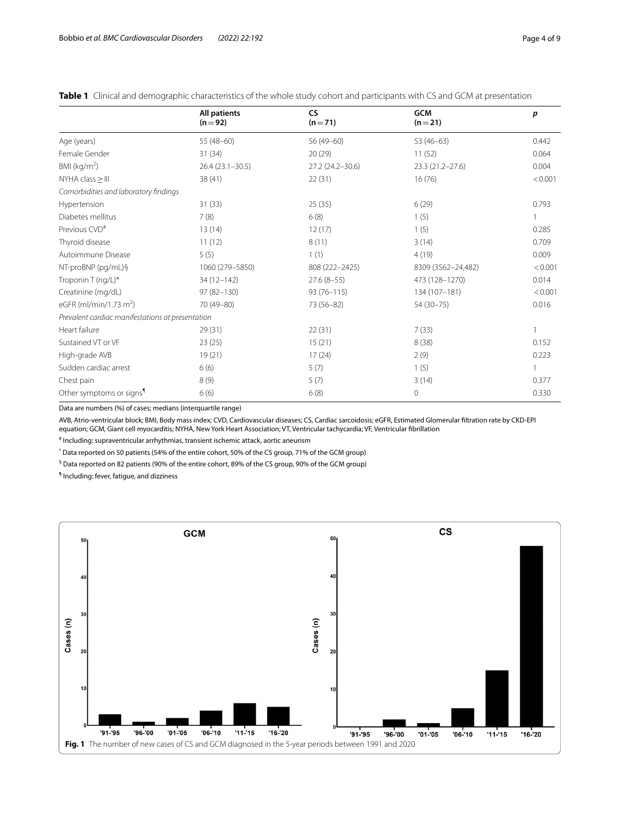|                                                  | <b>All patients</b><br>$(n=92)$ | <b>CS</b><br>$(n=71)$ | <b>GCM</b><br>$(n=21)$ | p       |
|--------------------------------------------------|---------------------------------|-----------------------|------------------------|---------|
| Age (years)                                      | $55(48-60)$                     | 56 (49-60)            | $53(46-63)$            | 0.442   |
| Female Gender                                    | 31 (34)                         | 20(29)                | 11(52)                 | 0.064   |
| BMI ( $kg/m2$ )                                  | $26.4(23.1-30.5)$               | 27.2 (24.2-30.6)      | 23.3 (21.2-27.6)       | 0.004   |
| NYHA class > III                                 | 38 (41)                         | 22(31)                | 16(76)                 |         |
| Comorbidities and laboratory findings            |                                 |                       |                        |         |
| Hypertension                                     | 31(33)                          | 25(35)                | 6(29)                  | 0.793   |
| Diabetes mellitus                                | 7(8)                            | 6(8)                  | 1(5)                   |         |
| Previous CVD <sup>#</sup>                        | 13(14)                          | 12(17)                | 1(5)                   | 0.285   |
| Thyroid disease                                  | 11(12)                          | 8(11)                 | 3(14)                  | 0.709   |
| Autoimmune Disease                               | 5(5)                            | 1(1)                  | 4(19)                  | 0.009   |
| NT-proBNP (pg/mL)§                               | 1060 (279-5850)                 | 808 (222-2425)        | 8309 (3562-24,482)     |         |
| Troponin T (ng/L)*                               | 34 (12-142)                     | $27.6(8-55)$          | 473 (128-1270)         |         |
| Creatinine (mg/dL)                               | $97(82 - 130)$                  | $93(76 - 115)$        | 134 (107-181)          | < 0.001 |
| eGFR (ml/min/1.73 m <sup>2</sup> )               | 70 (49-80)                      | 73 (56-82)            | 54 (30-75)             | 0.016   |
| Prevalent cardiac manifestations at presentation |                                 |                       |                        |         |
| Heart failure                                    | 29(31)                          | 22(31)                | 7(33)                  | 1       |
| Sustained VT or VF                               | 23(25)                          | 15(21)                | 8(38)                  | 0.152   |
| High-grade AVB                                   | 19(21)                          | 17(24)                | 2(9)                   | 0.223   |
| Sudden cardiac arrest                            | 6(6)                            | 5(7)                  | 1(5)                   | 1       |
| Chest pain                                       | 8(9)                            | 5(7)                  | 3(14)                  | 0.377   |
| Other symptoms or signs <sup>1</sup>             | 6(6)                            | 6(8)                  | 0                      | 0.330   |

<span id="page-3-0"></span>**Table 1** Clinical and demographic characteristics of the whole study cohort and participants with CS and GCM at presentation

Data are numbers (%) of cases; medians (interquartile range)

AVB, Atrio-ventricular block; BMI, Body mass index; CVD, Cardiovascular diseases; CS, Cardiac sarcoidosis; eGFR, Estimated Glomerular fltration rate by CKD-EPI equation; GCM, Giant cell myocarditis; NYHA, New York Heart Association; VT, Ventricular tachycardia; VF, Ventricular fbrillation

# Including: supraventricular arrhythmias, transient ischemic attack, aortic aneurism

\* Data reported on 50 patients (54% of the entire cohort, 50% of the CS group, 71% of the GCM group)

 $^\mathsf{\$}$  Data reported on 82 patients (90% of the entire cohort, 89% of the CS group, 90% of the GCM group)

¶ Including: fever, fatigue, and dizziness

<span id="page-3-1"></span>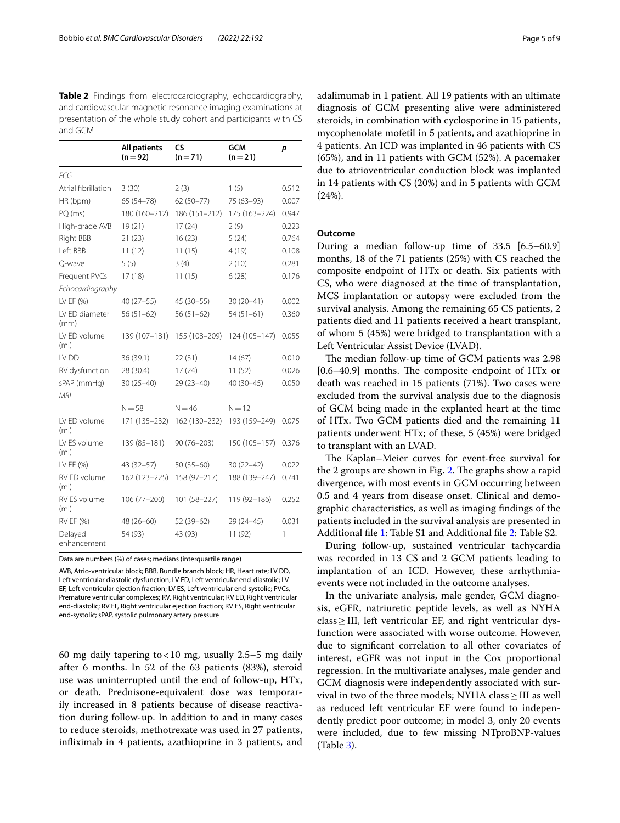<span id="page-4-0"></span>**Table 2** Findings from electrocardiography, echocardiography, and cardiovascular magnetic resonance imaging examinations at presentation of the whole study cohort and participants with CS and GCM

|                                   | <b>All patients</b><br>$(n=92)$ | <b>CS</b><br><b>GCM</b><br>$(n=71)$<br>$(n=21)$ |               | р     |  |
|-----------------------------------|---------------------------------|-------------------------------------------------|---------------|-------|--|
| ECG                               |                                 |                                                 |               |       |  |
| Atrial fibrillation               | 3(30)                           | 2(3)                                            | 1(5)          | 0.512 |  |
| HR (bpm)                          | $65(54 - 78)$                   | $62(50 - 77)$                                   | 75 (63-93)    | 0.007 |  |
| PQ (ms)                           | 180 (160-212)                   | 186 (151-212)                                   | 175 (163-224) | 0.947 |  |
| High-grade AVB                    | 19(21)                          | 17(24)                                          | 2(9)          | 0.223 |  |
| <b>Right BBB</b>                  | 21(23)                          | 16(23)                                          | 5(24)         | 0.764 |  |
| Left BBB                          | 11(12)<br>11(15)                |                                                 | 4(19)         | 0.108 |  |
| Q-wave                            | 5(5)<br>3(4)<br>2(10)           |                                                 |               | 0.281 |  |
| Frequent PVCs                     | 17(18)                          | 11(15)<br>6(28)                                 |               | 0.176 |  |
| Echocardiography                  |                                 |                                                 |               |       |  |
| LV EF (%)                         | $40(27-55)$                     | 45 (30-55)                                      | $30(20-41)$   | 0.002 |  |
| LV ED diameter<br>(mm)            | $56(51-62)$                     | $56(51-62)$                                     | $54(51-61)$   | 0.360 |  |
| LV ED volume<br>(m <sub>l</sub> ) | 139 (107-181)                   | 155 (108-209)                                   | 124 (105-147) | 0.055 |  |
| LV DD                             | 36 (39.1)                       | 22(31)                                          | 14(67)        | 0.010 |  |
| RV dysfunction                    | 28 (30.4)                       | 17(24)                                          | 11(52)        | 0.026 |  |
| sPAP (mmHg)<br><b>MRI</b>         | $30(25 - 40)$                   | $29(23 - 40)$                                   | 40 (30-45)    | 0.050 |  |
|                                   | $N = 58$                        | $N = 46$                                        | $N = 12$      |       |  |
| LV ED volume<br>(m <sub>l</sub> ) | 171 (135-232)                   | 162 (130-232)                                   | 193 (159-249) | 0.075 |  |
| LV ES volume<br>(m <sub>l</sub> ) | 139 (85-181)                    | $90(76 - 203)$                                  | 150 (105-157) | 0.376 |  |
| LV EF (%)                         | 43 (32-57)                      | $50(35-60)$                                     | $30(22 - 42)$ | 0.022 |  |
| RV ED volume<br>(m <sub>l</sub> ) | 162 (123-225)                   | 158 (97-217)                                    | 188 (139-247) | 0.741 |  |
| RV ES volume<br>(m <sub>l</sub> ) | $106(77 - 200)$                 | 101 (58-227)                                    | 119 (92-186)  | 0.252 |  |
| RV EF (%)                         | 48 (26-60)                      | 52 (39-62)                                      | 29 (24-45)    | 0.031 |  |
| Delayed<br>enhancement            | 54 (93)                         | 43 (93)                                         | 11 (92)       | 1     |  |

Data are numbers (%) of cases; medians (interquartile range)

AVB, Atrio-ventricular block; BBB, Bundle branch block; HR, Heart rate; LV DD, Left ventricular diastolic dysfunction; LV ED, Left ventricular end-diastolic; LV EF, Left ventricular ejection fraction; LV ES, Left ventricular end-systolic; PVCs, Premature ventricular complexes; RV, Right ventricular; RV ED, Right ventricular end-diastolic; RV EF, Right ventricular ejection fraction; RV ES, Right ventricular end-systolic; sPAP, systolic pulmonary artery pressure

60 mg daily tapering to < 10 mg, usually 2.5–5 mg daily after 6 months. In 52 of the 63 patients (83%), steroid use was uninterrupted until the end of follow-up, HTx, or death. Prednisone-equivalent dose was temporarily increased in 8 patients because of disease reactivation during follow-up. In addition to and in many cases to reduce steroids, methotrexate was used in 27 patients, infiximab in 4 patients, azathioprine in 3 patients, and adalimumab in 1 patient. All 19 patients with an ultimate diagnosis of GCM presenting alive were administered steroids, in combination with cyclosporine in 15 patients, mycophenolate mofetil in 5 patients, and azathioprine in 4 patients. An ICD was implanted in 46 patients with CS (65%), and in 11 patients with GCM (52%). A pacemaker due to atrioventricular conduction block was implanted in 14 patients with CS (20%) and in 5 patients with GCM (24%).

## **Outcome**

During a median follow-up time of 33.5 [6.5–60.9] months, 18 of the 71 patients (25%) with CS reached the composite endpoint of HTx or death. Six patients with CS, who were diagnosed at the time of transplantation, MCS implantation or autopsy were excluded from the survival analysis. Among the remaining 65 CS patients, 2 patients died and 11 patients received a heart transplant, of whom 5 (45%) were bridged to transplantation with a Left Ventricular Assist Device (LVAD).

The median follow-up time of GCM patients was 2.98  $[0.6–40.9]$  months. The composite endpoint of HTx or death was reached in 15 patients (71%). Two cases were excluded from the survival analysis due to the diagnosis of GCM being made in the explanted heart at the time of HTx. Two GCM patients died and the remaining 11 patients underwent HTx; of these, 5 (45%) were bridged to transplant with an LVAD.

The Kaplan–Meier curves for event-free survival for the 2 groups are shown in Fig. [2.](#page-5-0) The graphs show a rapid divergence, with most events in GCM occurring between 0.5 and 4 years from disease onset. Clinical and demographic characteristics, as well as imaging fndings of the patients included in the survival analysis are presented in Additional fle [1](#page-7-8): Table S1 and Additional fle [2](#page-7-9): Table S2.

During follow-up, sustained ventricular tachycardia was recorded in 13 CS and 2 GCM patients leading to implantation of an ICD. However, these arrhythmiaevents were not included in the outcome analyses.

In the univariate analysis, male gender, GCM diagnosis, eGFR, natriuretic peptide levels, as well as NYHA  $class \geq III$ , left ventricular EF, and right ventricular dysfunction were associated with worse outcome. However, due to signifcant correlation to all other covariates of interest, eGFR was not input in the Cox proportional regression. In the multivariate analyses, male gender and GCM diagnosis were independently associated with survival in two of the three models; NYHA class  $\geq$  III as well as reduced left ventricular EF were found to independently predict poor outcome; in model 3, only 20 events were included, due to few missing NTproBNP-values (Table [3\)](#page-5-1).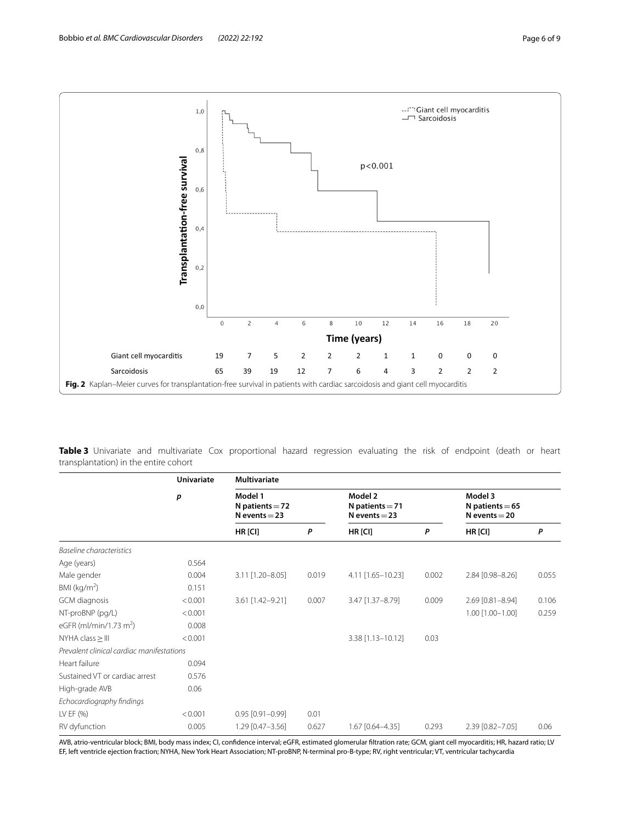

<span id="page-5-1"></span><span id="page-5-0"></span>**Table 3** Univariate and multivariate Cox proportional hazard regression evaluating the risk of endpoint (death or heart transplantation) in the entire cohort

|                                           | <b>Univariate</b><br>p | <b>Multivariate</b>                             |       |                                                 |       |                                                 |       |
|-------------------------------------------|------------------------|-------------------------------------------------|-------|-------------------------------------------------|-------|-------------------------------------------------|-------|
|                                           |                        | Model 1<br>N patients $=$ 72<br>N events $=$ 23 |       | Model 2<br>N patients $= 71$<br>N events $=$ 23 |       | Model 3<br>N patients $= 65$<br>N events $=$ 20 |       |
|                                           |                        | $HR$ [CI]                                       | P     | HR [CI]                                         | P     | HR [CI]                                         | P     |
| Baseline characteristics                  |                        |                                                 |       |                                                 |       |                                                 |       |
| Age (years)                               | 0.564                  |                                                 |       |                                                 |       |                                                 |       |
| Male gender                               | 0.004                  | 3.11 [1.20-8.05]                                | 0.019 | 4.11 [1.65-10.23]                               | 0.002 | 2.84 [0.98-8.26]                                | 0.055 |
| BMI ( $kg/m2$ )                           | 0.151                  |                                                 |       |                                                 |       |                                                 |       |
| GCM diagnosis                             | < 0.001                | 3.61 [1.42-9.21]                                | 0.007 | 3.47 [1.37-8.79]                                | 0.009 | 2.69 [0.81-8.94]                                | 0.106 |
| NT-proBNP (pq/L)                          | < 0.001                |                                                 |       |                                                 |       | 1.00 [1.00-1.00]                                | 0.259 |
| eGFR (ml/min/1.73 m <sup>2</sup> )        | 0.008                  |                                                 |       |                                                 |       |                                                 |       |
| $NYHA class \geq III$                     | < 0.001                |                                                 |       | 3.38 [1.13-10.12]                               | 0.03  |                                                 |       |
| Prevalent clinical cardiac manifestations |                        |                                                 |       |                                                 |       |                                                 |       |
| Heart failure                             | 0.094                  |                                                 |       |                                                 |       |                                                 |       |
| Sustained VT or cardiac arrest            | 0.576                  |                                                 |       |                                                 |       |                                                 |       |
| High-grade AVB                            | 0.06                   |                                                 |       |                                                 |       |                                                 |       |
| Echocardiography findings                 |                        |                                                 |       |                                                 |       |                                                 |       |
| LV EF (%)                                 | < 0.001                | $0.95$ $[0.91 - 0.99]$                          | 0.01  |                                                 |       |                                                 |       |
| RV dyfunction                             | 0.005                  | 1.29 [0.47-3.56]                                | 0.627 | 1.67 [0.64-4.35]                                | 0.293 | 2.39 [0.82-7.05]                                | 0.06  |

AVB, atrio-ventricular block; BMI, body mass index; CI, confdence interval; eGFR, estimated glomerular fltration rate; GCM, giant cell myocarditis; HR, hazard ratio; LV EF, left ventricle ejection fraction; NYHA, New York Heart Association; NT-proBNP, N-terminal pro-B-type; RV, right ventricular; VT, ventricular tachycardia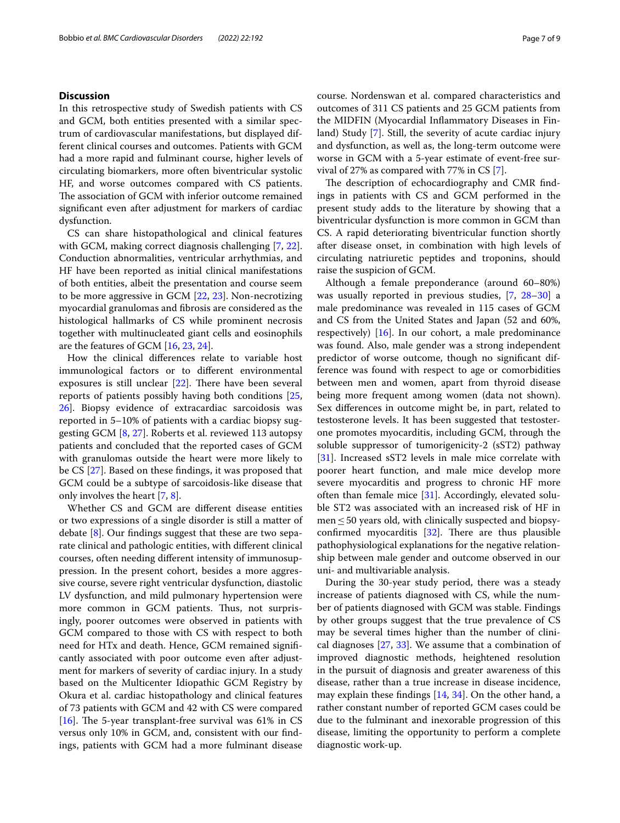## **Discussion**

In this retrospective study of Swedish patients with CS and GCM, both entities presented with a similar spectrum of cardiovascular manifestations, but displayed different clinical courses and outcomes. Patients with GCM had a more rapid and fulminant course, higher levels of circulating biomarkers, more often biventricular systolic HF, and worse outcomes compared with CS patients. The association of GCM with inferior outcome remained signifcant even after adjustment for markers of cardiac dysfunction.

CS can share histopathological and clinical features with GCM, making correct diagnosis challenging [\[7](#page-7-5), [22](#page-8-11)]. Conduction abnormalities, ventricular arrhythmias, and HF have been reported as initial clinical manifestations of both entities, albeit the presentation and course seem to be more aggressive in GCM [\[22](#page-8-11), [23\]](#page-8-12). Non-necrotizing myocardial granulomas and fbrosis are considered as the histological hallmarks of CS while prominent necrosis together with multinucleated giant cells and eosinophils are the features of GCM [[16,](#page-8-5) [23](#page-8-12), [24](#page-8-13)].

How the clinical diferences relate to variable host immunological factors or to diferent environmental exposures is still unclear  $[22]$  $[22]$ . There have been several reports of patients possibly having both conditions [\[25](#page-8-14), [26\]](#page-8-15). Biopsy evidence of extracardiac sarcoidosis was reported in 5–10% of patients with a cardiac biopsy suggesting GCM [[8](#page-7-6), [27](#page-8-16)]. Roberts et al. reviewed 113 autopsy patients and concluded that the reported cases of GCM with granulomas outside the heart were more likely to be CS [[27\]](#page-8-16). Based on these fndings, it was proposed that GCM could be a subtype of sarcoidosis-like disease that only involves the heart [\[7](#page-7-5), [8\]](#page-7-6).

Whether CS and GCM are diferent disease entities or two expressions of a single disorder is still a matter of debate  $[8]$  $[8]$ . Our findings suggest that these are two separate clinical and pathologic entities, with diferent clinical courses, often needing diferent intensity of immunosuppression. In the present cohort, besides a more aggressive course, severe right ventricular dysfunction, diastolic LV dysfunction, and mild pulmonary hypertension were more common in GCM patients. Thus, not surprisingly, poorer outcomes were observed in patients with GCM compared to those with CS with respect to both need for HTx and death. Hence, GCM remained signifcantly associated with poor outcome even after adjustment for markers of severity of cardiac injury. In a study based on the Multicenter Idiopathic GCM Registry by Okura et al. cardiac histopathology and clinical features of 73 patients with GCM and 42 with CS were compared [[16\]](#page-8-5). The 5-year transplant-free survival was  $61\%$  in CS versus only 10% in GCM, and, consistent with our fndings, patients with GCM had a more fulminant disease course. Nordenswan et al. compared characteristics and outcomes of 311 CS patients and 25 GCM patients from the MIDFIN (Myocardial Infammatory Diseases in Finland) Study [[7\]](#page-7-5). Still, the severity of acute cardiac injury and dysfunction, as well as, the long-term outcome were worse in GCM with a 5-year estimate of event-free survival of 27% as compared with 77% in CS [[7](#page-7-5)].

The description of echocardiography and CMR findings in patients with CS and GCM performed in the present study adds to the literature by showing that a biventricular dysfunction is more common in GCM than CS. A rapid deteriorating biventricular function shortly after disease onset, in combination with high levels of circulating natriuretic peptides and troponins, should raise the suspicion of GCM.

Although a female preponderance (around 60–80%) was usually reported in previous studies, [\[7](#page-7-5), [28–](#page-8-17)[30](#page-8-18)] a male predominance was revealed in 115 cases of GCM and CS from the United States and Japan (52 and 60%, respectively) [\[16](#page-8-5)]. In our cohort, a male predominance was found. Also, male gender was a strong independent predictor of worse outcome, though no signifcant difference was found with respect to age or comorbidities between men and women, apart from thyroid disease being more frequent among women (data not shown). Sex diferences in outcome might be, in part, related to testosterone levels. It has been suggested that testosterone promotes myocarditis, including GCM, through the soluble suppressor of tumorigenicity-2 (sST2) pathway [[31\]](#page-8-19). Increased sST2 levels in male mice correlate with poorer heart function, and male mice develop more severe myocarditis and progress to chronic HF more often than female mice  $[31]$  $[31]$ . Accordingly, elevated soluble ST2 was associated with an increased risk of HF in  $men \leq 50$  years old, with clinically suspected and biopsyconfirmed myocarditis  $[32]$ . There are thus plausible pathophysiological explanations for the negative relationship between male gender and outcome observed in our uni- and multivariable analysis.

During the 30-year study period, there was a steady increase of patients diagnosed with CS, while the number of patients diagnosed with GCM was stable. Findings by other groups suggest that the true prevalence of CS may be several times higher than the number of clinical diagnoses [[27](#page-8-16), [33\]](#page-8-21). We assume that a combination of improved diagnostic methods, heightened resolution in the pursuit of diagnosis and greater awareness of this disease, rather than a true increase in disease incidence, may explain these fndings [[14](#page-8-3), [34](#page-8-22)]. On the other hand, a rather constant number of reported GCM cases could be due to the fulminant and inexorable progression of this disease, limiting the opportunity to perform a complete diagnostic work-up.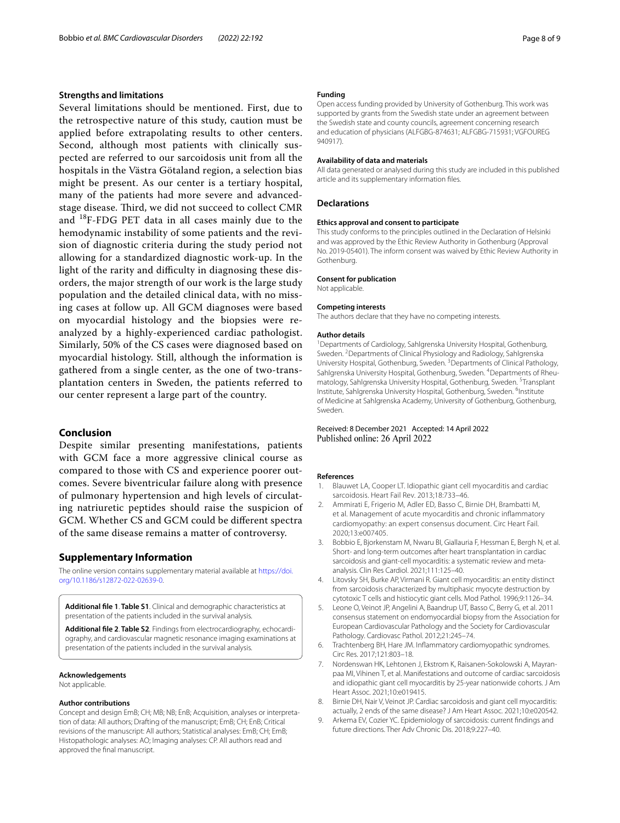## **Strengths and limitations**

Several limitations should be mentioned. First, due to the retrospective nature of this study, caution must be applied before extrapolating results to other centers. Second, although most patients with clinically suspected are referred to our sarcoidosis unit from all the hospitals in the Västra Götaland region, a selection bias might be present. As our center is a tertiary hospital, many of the patients had more severe and advancedstage disease. Third, we did not succeed to collect CMR and 18F-FDG PET data in all cases mainly due to the hemodynamic instability of some patients and the revision of diagnostic criteria during the study period not allowing for a standardized diagnostic work-up. In the light of the rarity and difficulty in diagnosing these disorders, the major strength of our work is the large study population and the detailed clinical data, with no missing cases at follow up. All GCM diagnoses were based on myocardial histology and the biopsies were reanalyzed by a highly-experienced cardiac pathologist. Similarly, 50% of the CS cases were diagnosed based on myocardial histology. Still, although the information is gathered from a single center, as the one of two-transplantation centers in Sweden, the patients referred to our center represent a large part of the country.

## **Conclusion**

Despite similar presenting manifestations, patients with GCM face a more aggressive clinical course as compared to those with CS and experience poorer outcomes. Severe biventricular failure along with presence of pulmonary hypertension and high levels of circulating natriuretic peptides should raise the suspicion of GCM. Whether CS and GCM could be diferent spectra of the same disease remains a matter of controversy.

## **Supplementary Information**

The online version contains supplementary material available at [https://doi.](https://doi.org/10.1186/s12872-022-02639-0) [org/10.1186/s12872-022-02639-0](https://doi.org/10.1186/s12872-022-02639-0).

<span id="page-7-9"></span><span id="page-7-8"></span>**Additional fle 1**. **Table S1**. Clinical and demographic characteristics at presentation of the patients included in the survival analysis.

**Additional fle 2**. **Table S2**. Findings from electrocardiography, echocardi‑ ography, and cardiovascular magnetic resonance imaging examinations at presentation of the patients included in the survival analysis.

#### **Acknowledgements**

Not applicable.

#### **Author contributions**

Concept and design EmB; CH; MB; NB; EnB; Acquisition, analyses or interpretation of data: All authors; Drafting of the manuscript; EmB; CH; EnB; Critical revisions of the manuscript: All authors; Statistical analyses: EmB; CH; EmB; Histopathologic analyses: AO; Imaging analyses: CP. All authors read and approved the fnal manuscript.

#### **Funding**

Open access funding provided by University of Gothenburg. This work was supported by grants from the Swedish state under an agreement between the Swedish state and county councils, agreement concerning research and education of physicians (ALFGBG-874631; ALFGBG-715931; VGFOUREG 940917).

## **Availability of data and materials**

All data generated or analysed during this study are included in this published article and its supplementary information fles.

## **Declarations**

#### **Ethics approval and consent to participate**

This study conforms to the principles outlined in the Declaration of Helsinki and was approved by the Ethic Review Authority in Gothenburg (Approval No. 2019-05401). The inform consent was waived by Ethic Review Authority in Gothenburg.

#### **Consent for publication**

Not applicable.

#### **Competing interests**

The authors declare that they have no competing interests.

#### **Author details**

<sup>1</sup> Departments of Cardiology, Sahlgrenska University Hospital, Gothenburg, Sweden. <sup>2</sup> Departments of Clinical Physiology and Radiology, Sahlgrenska University Hospital, Gothenburg, Sweden.<sup>3</sup> Departments of Clinical Pathology, Sahlgrenska University Hospital, Gothenburg, Sweden. <sup>4</sup> Departments of Rheumatology, Sahlgrenska University Hospital, Gothenburg, Sweden. <sup>5</sup>Transplant Institute, Sahlgrenska University Hospital, Gothenburg, Sweden. <sup>6</sup>Institute of Medicine at Sahlgrenska Academy, University of Gothenburg, Gothenburg, Sweden.

#### Received: 8 December 2021 Accepted: 14 April 2022 Published online: 26 April 2022

#### **References**

- <span id="page-7-0"></span>1. Blauwet LA, Cooper LT. Idiopathic giant cell myocarditis and cardiac sarcoidosis. Heart Fail Rev. 2013;18:733–46.
- 2. Ammirati E, Frigerio M, Adler ED, Basso C, Birnie DH, Brambatti M, et al. Management of acute myocarditis and chronic infammatory cardiomyopathy: an expert consensus document. Circ Heart Fail. 2020;13:e007405.
- <span id="page-7-1"></span>3. Bobbio E, Bjorkenstam M, Nwaru BI, Giallauria F, Hessman E, Bergh N, et al. Short- and long-term outcomes after heart transplantation in cardiac sarcoidosis and giant-cell myocarditis: a systematic review and metaanalysis. Clin Res Cardiol. 2021;111:125–40.
- <span id="page-7-2"></span>4. Litovsky SH, Burke AP, Virmani R. Giant cell myocarditis: an entity distinct from sarcoidosis characterized by multiphasic myocyte destruction by cytotoxic T cells and histiocytic giant cells. Mod Pathol. 1996;9:1126–34.
- <span id="page-7-3"></span>5. Leone O, Veinot JP, Angelini A, Baandrup UT, Basso C, Berry G, et al. 2011 consensus statement on endomyocardial biopsy from the Association for European Cardiovascular Pathology and the Society for Cardiovascular Pathology. Cardiovasc Pathol. 2012;21:245–74.
- <span id="page-7-4"></span>6. Trachtenberg BH, Hare JM. Infammatory cardiomyopathic syndromes. Circ Res. 2017;121:803–18.
- <span id="page-7-5"></span>7. Nordenswan HK, Lehtonen J, Ekstrom K, Raisanen-Sokolowski A, Mayranpaa MI, Vihinen T, et al. Manifestations and outcome of cardiac sarcoidosis and idiopathic giant cell myocarditis by 25-year nationwide cohorts. J Am Heart Assoc. 2021;10:e019415.
- <span id="page-7-6"></span>8. Birnie DH, Nair V, Veinot JP. Cardiac sarcoidosis and giant cell myocarditis: actually, 2 ends of the same disease? J Am Heart Assoc. 2021;10:e020542.
- <span id="page-7-7"></span>9. Arkema EV, Cozier YC. Epidemiology of sarcoidosis: current fndings and future directions. Ther Adv Chronic Dis. 2018;9:227–40.